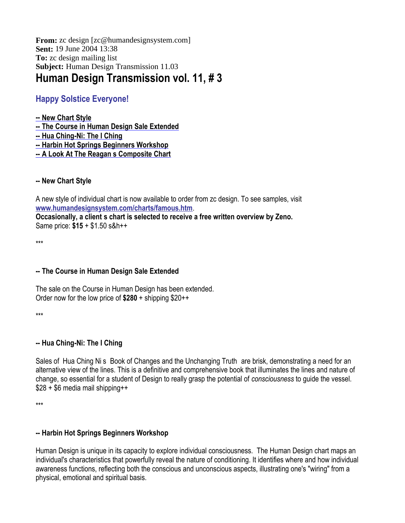From: zc design [zc@humandesignsystem.com] **Sent:** 19 June 2004 13:38 **To:** zc design mailing list **Subject:** Human Design Transmission 11.03 **Human Design Transmission vol. 11, # 3**

# **Happy Solstice Everyone!**

**-- New Chart Style -- The Course in Human Design Sale Extended**

**-- Hua Ching-Ni: The I Ching**

**-- Harbin Hot Springs Beginners Workshop**

**-- A Look At The Reagan s Composite Chart**

#### **-- New Chart Style**

A new style of individual chart is now available to order from zc design. To see samples, visit **www.humandesignsystem.com/charts/famous.htm**.

**Occasionally, a client s chart is selected to receive a free written overview by Zeno.** Same price: **\$15** + \$1.50 s&h++

\*\*\*

## **-- The Course in Human Design Sale Extended**

The sale on the Course in Human Design has been extended. Order now for the low price of **\$280** + shipping \$20++

\*\*\*

## **-- Hua Ching-Ni: The I Ching**

Sales of Hua Ching Ni s Book of Changes and the Unchanging Truth are brisk, demonstrating a need for an alternative view of the lines. This is a definitive and comprehensive book that illuminates the lines and nature of change, so essential for a student of Design to really grasp the potential of *consciousness* to guide the vessel. \$28 + \$6 media mail shipping++

\*\*\*

## **-- Harbin Hot Springs Beginners Workshop**

Human Design is unique in its capacity to explore individual consciousness. The Human Design chart maps an individual's characteristics that powerfully reveal the nature of conditioning. It identifies where and how individual awareness functions, reflecting both the conscious and unconscious aspects, illustrating one's "wiring" from a physical, emotional and spiritual basis.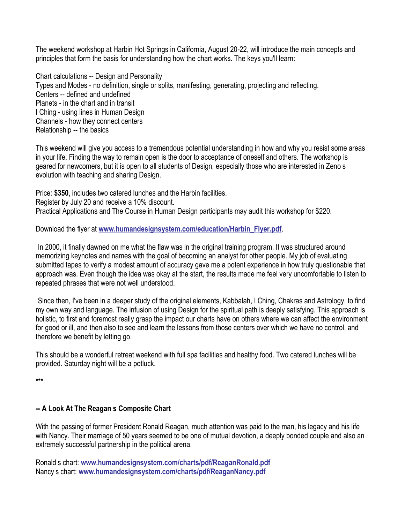The weekend workshop at Harbin Hot Springs in California, August 20-22, will introduce the main concepts and principles that form the basis for understanding how the chart works. The keys you'll learn:

Chart calculations -- Design and Personality Types and Modes - no definition, single or splits, manifesting, generating, projecting and reflecting. Centers -- defined and undefined Planets - in the chart and in transit I Ching - using lines in Human Design Channels - how they connect centers Relationship -- the basics

This weekend will give you access to a tremendous potential understanding in how and why you resist some areas in your life. Finding the way to remain open is the door to acceptance of oneself and others. The workshop is geared for newcomers, but it is open to all students of Design, especially those who are interested in Zeno s evolution with teaching and sharing Design.

Price: **\$350**, includes two catered lunches and the Harbin facilities. Register by July 20 and receive a 10% discount. Practical Applications and The Course in Human Design participants may audit this workshop for \$220.

Download the flyer at **www.humandesignsystem.com/education/Harbin\_Flyer.pdf**.

In 2000, it finally dawned on me what the flaw was in the original training program. It was structured around memorizing keynotes and names with the goal of becoming an analyst for other people. My job of evaluating submitted tapes to verify a modest amount of accuracy gave me a potent experience in how truly questionable that approach was. Even though the idea was okay at the start, the results made me feel very uncomfortable to listen to repeated phrases that were not well understood.

Since then, I've been in a deeper study of the original elements, Kabbalah, I Ching, Chakras and Astrology, to find my own way and language. The infusion of using Design for the spiritual path is deeply satisfying. This approach is holistic, to first and foremost really grasp the impact our charts have on others where we can affect the environment for good or ill, and then also to see and learn the lessons from those centers over which we have no control, and therefore we benefit by letting go.

This should be a wonderful retreat weekend with full spa facilities and healthy food. Two catered lunches will be provided. Saturday night will be a potluck.

\*\*\*

#### **-- A Look At The Reagan s Composite Chart**

With the passing of former President Ronald Reagan, much attention was paid to the man, his legacy and his life with Nancy. Their marriage of 50 years seemed to be one of mutual devotion, a deeply bonded couple and also an extremely successful partnership in the political arena.

Ronald s chart: **www.humandesignsystem.com/charts/pdf/ReaganRonald.pdf** Nancy s chart: **www.humandesignsystem.com/charts/pdf/ReaganNancy.pdf**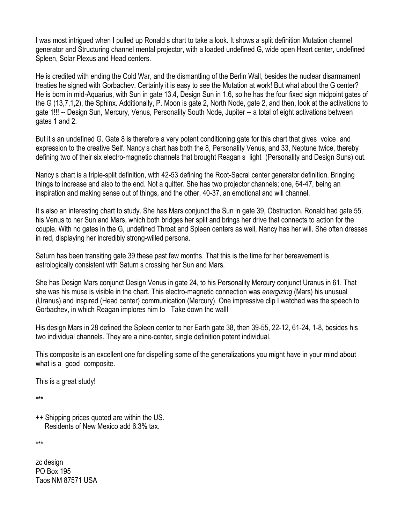I was most intrigued when I pulled up Ronald s chart to take a look. It shows a split definition Mutation channel generator and Structuring channel mental projector, with a loaded undefined G, wide open Heart center, undefined Spleen, Solar Plexus and Head centers.

He is credited with ending the Cold War, and the dismantling of the Berlin Wall, besides the nuclear disarmament treaties he signed with Gorbachev. Certainly it is easy to see the Mutation at work! But what about the G center? He is born in mid-Aquarius, with Sun in gate 13.4, Design Sun in 1.6, so he has the four fixed sign midpoint gates of the G (13,7,1,2), the Sphinx. Additionally, P. Moon is gate 2, North Node, gate 2, and then, look at the activations to gate 1!!! -- Design Sun, Mercury, Venus, Personality South Node, Jupiter -- a total of eight activations between gates 1 and 2.

But it s an undefined G. Gate 8 is therefore a very potent conditioning gate for this chart that gives voice and expression to the creative Self. Nancy s chart has both the 8, Personality Venus, and 33, Neptune twice, thereby defining two of their six electro-magnetic channels that brought Reagan s light (Personality and Design Suns) out.

Nancy s chart is a triple-split definition, with 42-53 defining the Root-Sacral center generator definition. Bringing things to increase and also to the end. Not a quitter. She has two projector channels; one, 64-47, being an inspiration and making sense out of things, and the other, 40-37, an emotional and will channel.

It s also an interesting chart to study. She has Mars conjunct the Sun in gate 39, Obstruction. Ronald had gate 55, his Venus to her Sun and Mars, which both bridges her split and brings her drive that connects to action for the couple. With no gates in the G, undefined Throat and Spleen centers as well, Nancy has her will. She often dresses in red, displaying her incredibly strong-willed persona.

Saturn has been transiting gate 39 these past few months. That this is the time for her bereavement is astrologically consistent with Saturn s crossing her Sun and Mars.

She has Design Mars conjunct Design Venus in gate 24, to his Personality Mercury conjunct Uranus in 61. That she was his muse is visible in the chart. This electro-magnetic connection was *energizing* (Mars) his unusual (Uranus) and inspired (Head center) communication (Mercury). One impressive clip I watched was the speech to Gorbachev, in which Reagan implores him to Take down the wall!

His design Mars in 28 defined the Spleen center to her Earth gate 38, then 39-55, 22-12, 61-24, 1-8, besides his two individual channels. They are a nine-center, single definition potent individual.

This composite is an excellent one for dispelling some of the generalizations you might have in your mind about what is a good composite.

This is a great study!

**\*\*\***

++ Shipping prices quoted are within the US. Residents of New Mexico add 6.3% tax.

\*\*\*

zc design PO Box 195 Taos NM 87571 USA